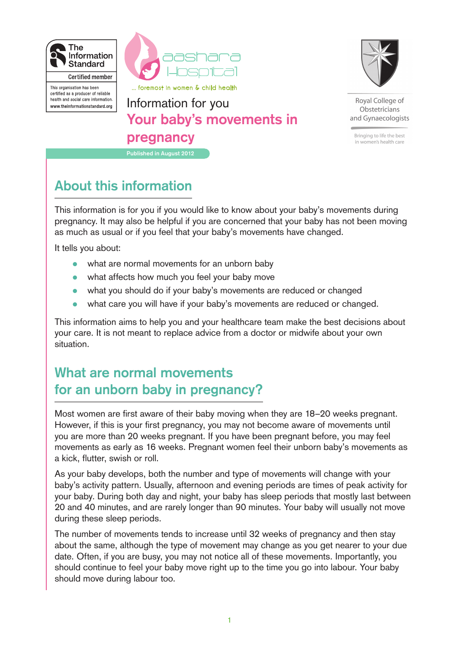



This organisation has been certified as a producer of reliable health and social care information. www.theinformationstandard.org

**Published in August 2012** Information for you **Your baby's movements in pregnancy**



Royal College of Obstetricians and Gynaecologists

Bringing to life the best in women's health care

## **About this information**

This information is for you if you would like to know about your baby's movements during pregnancy. It may also be helpful if you are concerned that your baby has not been moving as much as usual or if you feel that your baby's movements have changed.

It tells you about:

- what are normal movements for an unborn baby
- what affects how much you feel your baby move
- what you should do if your baby's movements are reduced or changed
- what care you will have if your baby's movements are reduced or changed.

This information aims to help you and your healthcare team make the best decisions about your care. It is not meant to replace advice from a doctor or midwife about your own situation.

## **What are normal movements for an unborn baby in pregnancy?**

Most women are first aware of their baby moving when they are 18–20 weeks pregnant. However, if this is your first pregnancy, you may not become aware of movements until you are more than 20 weeks pregnant. If you have been pregnant before, you may feel movements as early as 16 weeks. Pregnant women feel their unborn baby's movements as a kick, flutter, swish or roll.

As your baby develops, both the number and type of movements will change with your baby's activity pattern. Usually, afternoon and evening periods are times of peak activity for your baby. During both day and night, your baby has sleep periods that mostly last between 20 and 40 minutes, and are rarely longer than 90 minutes. Your baby will usually not move during these sleep periods.

The number of movements tends to increase until 32 weeks of pregnancy and then stay about the same, although the type of movement may change as you get nearer to your due date. Often, if you are busy, you may not notice all of these movements. Importantly, you should continue to feel your baby move right up to the time you go into labour. Your baby should move during labour too.